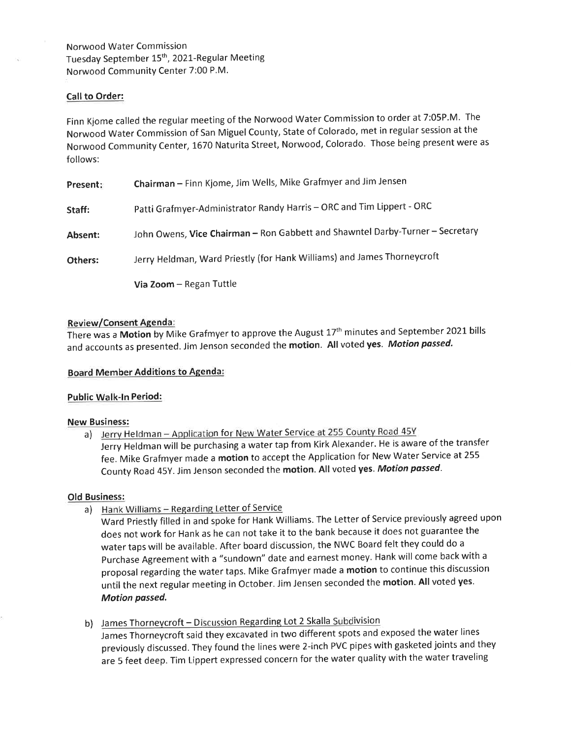Norwood Water Commission Tuesday September 15<sup>th</sup>, 2021-Regular Meeting Norwood Community Center 7:00 P.M.

## Call to Order:

Finn Kjome called the regular meeting of the Norwood Water Commission to order at 7:05P.M. The Norwood Water Commission of San Miguel County, State of Colorado, met in regular session at the Norwood Community Center, 1670 Naturita Street, Norwood, Colorado. Those being present were as follows:

| Present: | Chairman - Finn Kjome, Jim Wells, Mike Grafmyer and Jim Jensen                |
|----------|-------------------------------------------------------------------------------|
| Staff:   | Patti Grafmyer-Administrator Randy Harris - ORC and Tim Lippert - ORC         |
| Absent:  | John Owens, Vice Chairman - Ron Gabbett and Shawntel Darby-Turner - Secretary |
| Others:  | Jerry Heldman, Ward Priestly (for Hank Williams) and James Thorneycroft       |
|          | Via Zoom - Regan Tuttle                                                       |

## Review/Consent Agenda :

There was a Motion by Mike Grafmyer to approve the August 17<sup>th</sup> minutes and September 2021 bills and accounts as presented. Jim Jenson seconded the motion. All voted yes. Motion passed.

## Board Member Additions to Agenda:

## Public Walk-In Period:

#### New Business:

a) Jerry Heldman - Application for New Water Service at 255 County Road 45Y Jerry Heldman will be purchasing a water tap from Kirk Alexander. He is aware of the transfer fee. Mike Grafmyer made a motion to accept the Application for New Water Service at <sup>255</sup> County Road 45Y. Jim Jenson seconded the motion. All voted yes. Motion passed.

#### Old Business:

- a) Hank Williams Regarding Letter of Service
	- Ward priestly filled in and spoke for Hank Williams. The Letter of Service previously agreed upon does not work for Hank as he can not take it to the bank because it does not guarantee the water taps will be available. After board discussion, the NWC Board felt they could do <sup>a</sup> purchase Agreement with a "sundown" date and earnest money. Hank will come back with <sup>a</sup> proposal regarding the water taps. Mike Grafmyer made a motion to continue this discussion until the next regular meeting in October. Jim Jensen seconded the motion. All voted yes. Motion passed.
- b) James Thorneycroft Discussion Regarding Lot 2 Skalla Subdivision James Thorneycroft said they excavated in two diffe rent spots and exposed the water lines previously discussed. They found the lines were 2-in ch PVC pipes with gasketed joints and they .<br>are 5 feet deep. Tim Lippert expressed concern for the water quality with the water traveling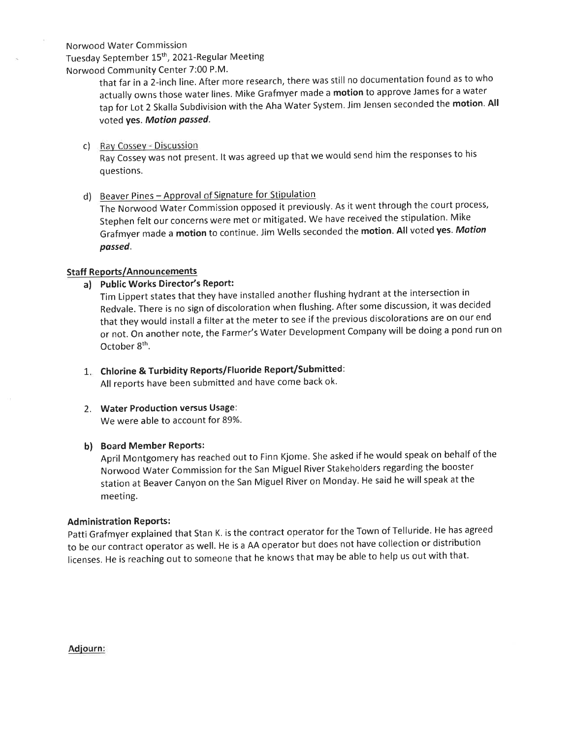Norwood Water Commission

Tuesday September 15th, 2021-Regular Meeting Norwood Community Center 7:00 P.M.

that far in a 2-inch line. After more research, there was still no documentation found as to who actually owns those water lines. Mike Grafmyer made a motion to approve James for a water tap for Lot 2 Skalla Subdivision with the Aha Water System. Jim Jensen seconded the motion. All voted yes. Motion passed.

c) Rav Cossev - Discussion

Ray Cossey was not present. lt was agreed up that we would send him the responses to his questions.

d) Beaver Pines - Approval of Signature for Stipulation

The Norwood water commission opposed it previously. As it went through the court process, Stephen felt our concerns were met or mitigated. We have received the stipulation. Mike Grafmyer made a motion to continue. Jim Wells seconded the motion. All voted yes. Motion possed.

# Staff Reports/Announcements

a) Public Works Director's Report:

Tim Lippert states that they have installed another flushing hydrant at the intersection in Redvale. There is no sign of discoloration when flushing. After some discussion, it was decided that they would install a filter at the meter to see if the previous discolorations are on our end or not. On another note, the Farmer's Water Development Company will be doing a pond run on October 8<sup>th</sup>.

- $1. \;\;$  Chlorine & Turbidity Reports/Fluoride Report/Submitted: All reports have been submitted and have come back ok.
- 2. Water Production versus Usage: We were able to account for 89%.

## b) Board Member Reports:

April Montgomery has reached out to Finn Kjome. She asked if he would speak on behalf of the Norwood Water Commission for the San Miguel River Stakeholders regarding the booster station at Beaver Canyon on the San Miguel River on Monday. He said he will speak at the meeting.

## **Administration Reports:**

patti Grafmyer explained that Stan K. is the contract operator for the Town of Telluride. He has agreed to be our contract operator as well. He is a AA operator but does not have collection or distribution licenses. He is reaching out to someone that he knows that may be able to help us out with that.

Adiourn: